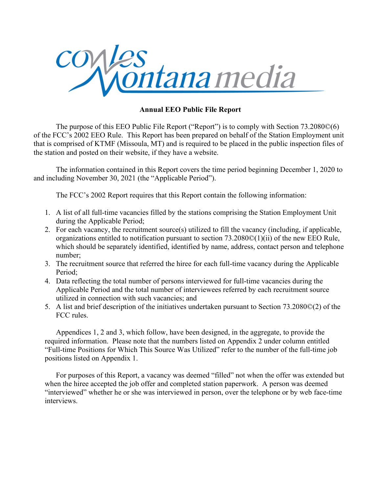

The purpose of this EEO Public File Report ("Report") is to comply with Section 73.2080©(6) of the FCC's 2002 EEO Rule. This Report has been prepared on behalf of the Station Employment unit that is comprised of KTMF (Missoula, MT) and is required to be placed in the public inspection files of the station and posted on their website, if they have a website.

The information contained in this Report covers the time period beginning December 1, 2020 to and including November 30, 2021 (the "Applicable Period").

The FCC's 2002 Report requires that this Report contain the following information:

- 1. A list of all full-time vacancies filled by the stations comprising the Station Employment Unit during the Applicable Period;
- 2. For each vacancy, the recruitment source(s) utilized to fill the vacancy (including, if applicable, organizations entitled to notification pursuant to section 73.2080©(1)(ii) of the new EEO Rule, which should be separately identified, identified by name, address, contact person and telephone number;
- 3. The recruitment source that referred the hiree for each full-time vacancy during the Applicable Period;
- 4. Data reflecting the total number of persons interviewed for full-time vacancies during the Applicable Period and the total number of interviewees referred by each recruitment source utilized in connection with such vacancies; and
- 5. A list and brief description of the initiatives undertaken pursuant to Section 73.2080©(2) of the FCC rules.

Appendices 1, 2 and 3, which follow, have been designed, in the aggregate, to provide the required information. Please note that the numbers listed on Appendix 2 under column entitled "Full-time Positions for Which This Source Was Utilized" refer to the number of the full-time job positions listed on Appendix 1.

For purposes of this Report, a vacancy was deemed "filled" not when the offer was extended but when the hiree accepted the job offer and completed station paperwork. A person was deemed "interviewed" whether he or she was interviewed in person, over the telephone or by web face-time interviews.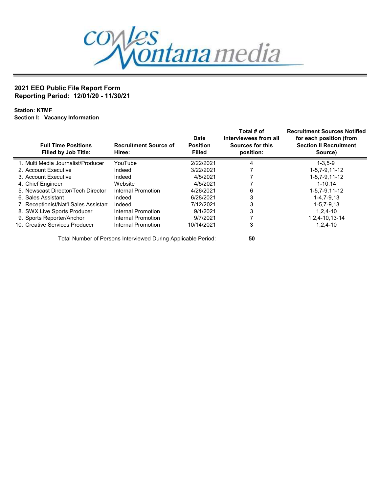

Station: KTMF Section I: Vacancy Information

| <b>Full Time Positions</b><br><b>Filled by Job Title:</b> | <b>Recruitment Source of</b><br>Hiree: | <b>Date</b><br><b>Position</b><br><b>Filled</b> | Total # of<br>Interviewees from all<br>Sources for this<br>position: | <b>Recruitment Sources Notified</b><br>for each position (from<br><b>Section II Recruitment</b><br>Source) |
|-----------------------------------------------------------|----------------------------------------|-------------------------------------------------|----------------------------------------------------------------------|------------------------------------------------------------------------------------------------------------|
| 1. Multi Media Journalist/Producer                        | YouTube                                | 2/22/2021                                       | 4                                                                    | $1 - 3.5 - 9$                                                                                              |
| 2. Account Executive                                      | Indeed                                 | 3/22/2021                                       |                                                                      | $1 - 5.7 - 9.11 - 12$                                                                                      |
| 3. Account Executive                                      | Indeed                                 | 4/5/2021                                        |                                                                      | $1 - 5.7 - 9.11 - 12$                                                                                      |
| 4. Chief Engineer                                         | Website                                | 4/5/2021                                        |                                                                      | $1 - 10.14$                                                                                                |
| 5. Newscast Director/Tech Director                        | Internal Promotion                     | 4/26/2021                                       | 6                                                                    | 1-5.7-9.11-12                                                                                              |
| 6. Sales Assistant                                        | Indeed                                 | 6/28/2021                                       | 3                                                                    | $1 - 4, 7 - 9, 13$                                                                                         |
| 7. Receptionist/Nat'l Sales Assistan                      | Indeed                                 | 7/12/2021                                       | 3                                                                    | $1 - 5.7 - 9.13$                                                                                           |
| 8. SWX Live Sports Producer                               | Internal Promotion                     | 9/1/2021                                        | 3                                                                    | $1.2.4 - 10$                                                                                               |
| 9. Sports Reporter/Anchor                                 | Internal Promotion                     | 9/7/2021                                        |                                                                      | 1.2.4-10.13-14                                                                                             |
| 10. Creative Services Producer                            | Internal Promotion                     | 10/14/2021                                      | 3                                                                    | $1,2,4-10$                                                                                                 |

Total Number of Persons Interviewed During Applicable Period: 50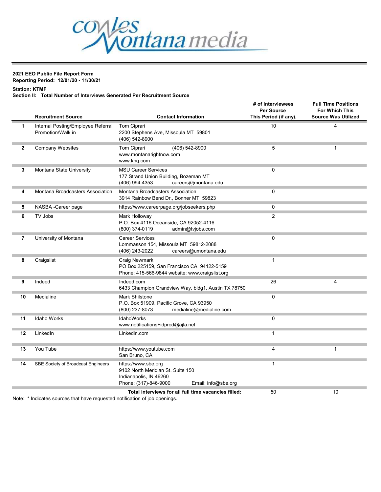

#### Station: KTMF

#### Section II: Total Number of Interviews Generated Per Recruitment Source

|                | <b>Recruitment Source</b>                               | <b>Contact Information</b>                                                                                                         | # of Interviewees<br><b>Per Source</b><br>This Period (if any). | <b>Full Time Positions</b><br><b>For Which This</b><br><b>Source Was Utilized</b> |
|----------------|---------------------------------------------------------|------------------------------------------------------------------------------------------------------------------------------------|-----------------------------------------------------------------|-----------------------------------------------------------------------------------|
| 1              | Internal Posting/Employee Referral<br>Promotion/Walk in | Tom Ciprari<br>2200 Stephens Ave, Missoula MT 59801<br>(406) 542-8900                                                              | 10                                                              | 4                                                                                 |
| $\mathbf{2}$   | <b>Company Websites</b>                                 | Tom Ciprari<br>(406) 542-8900<br>www.montanarightnow.com<br>www.khq.com                                                            | 5                                                               | $\mathbf{1}$                                                                      |
| 3              | Montana State University                                | <b>MSU Career Services</b><br>177 Strand Union Building, Bozeman MT<br>(406) 994-4353<br>careers@montana.edu                       | 0                                                               |                                                                                   |
| 4              | Montana Broadcasters Association                        | Montana Broadcasters Association<br>3914 Rainbow Bend Dr., Bonner MT 59823                                                         | $\Omega$                                                        |                                                                                   |
| 5              | NASBA -Career page                                      | https://www.careerpage.org/jobseekers.php                                                                                          | $\mathbf 0$                                                     |                                                                                   |
| 6              | TV Jobs                                                 | Mark Holloway<br>P.O. Box 4116 Oceanside, CA 92052-4116<br>(800) 374-0119<br>admin@tvjobs.com                                      | $\overline{2}$                                                  |                                                                                   |
| $\overline{7}$ | University of Montana                                   | <b>Career Services</b><br>Lommasson 154, Missoula MT 59812-2088<br>(406) 243-2022<br>careers@umontana.edu                          | 0                                                               |                                                                                   |
| 8              | Craigslist                                              | Craig Newmark<br>PO Box 225159, San Francisco CA 94122-5159<br>Phone: 415-566-9844 website: www.craigslist.org                     | 1                                                               |                                                                                   |
| 9              | Indeed                                                  | Indeed.com<br>6433 Champion Grandview Way, bldg1, Austin TX 78750                                                                  | 26                                                              | 4                                                                                 |
| 10             | Medialine                                               | <b>Mark Shilstone</b><br>P.O. Box 51909, Pacific Grove, CA 93950<br>medialine@medialine.com<br>(800) 237-8073                      | 0                                                               |                                                                                   |
| 11             | <b>Idaho Works</b>                                      | <b>IdahoWorks</b><br>www.notifications+idprod@ajla.net                                                                             | 0                                                               |                                                                                   |
| 12             | LinkedIn                                                | Linkedin.com                                                                                                                       | $\mathbf 1$                                                     |                                                                                   |
| 13             | You Tube                                                | https://www.youtube.com<br>San Bruno, CA                                                                                           | 4                                                               | 1                                                                                 |
| 14             | SBE Society of Broadcast Engineers                      | https://www.sbe.org<br>9102 North Meridian St. Suite 150<br>Indianapolis, IN 46260<br>Phone: (317)-846-9000<br>Email: info@sbe.org | $\mathbf{1}$                                                    |                                                                                   |
|                |                                                         | Total interviews for all full time vacancies filled:                                                                               | 50                                                              | 10                                                                                |

Note: \* Indicates sources that have requested notification of job openings.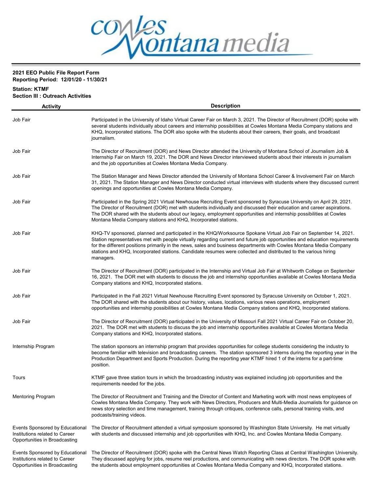

# Station: KTMF Section III : Outreach Activities

| <b>Activity</b>                                                                                    | <b>Description</b>                                                                                                                                                                                                                                                                                                                                                                                                                                                                                     |
|----------------------------------------------------------------------------------------------------|--------------------------------------------------------------------------------------------------------------------------------------------------------------------------------------------------------------------------------------------------------------------------------------------------------------------------------------------------------------------------------------------------------------------------------------------------------------------------------------------------------|
| Job Fair                                                                                           | Participated in the University of Idaho Virtual Career Fair on March 3, 2021. The Director of Recruitment (DOR) spoke with<br>several students individually about careers and internship possibilities at Cowles Montana Media Company stations and<br>KHQ, Incorporated stations. The DOR also spoke with the students about their careers, their goals, and broadcast<br>journalism.                                                                                                                 |
| Job Fair                                                                                           | The Director of Recruitment (DOR) and News Director attended the University of Montana School of Journalism Job &<br>Internship Fair on March 19, 2021. The DOR and News Director interviewed students about their interests in journalism<br>and the job opportunities at Cowles Montana Media Company.                                                                                                                                                                                               |
| Job Fair                                                                                           | The Station Manager and News Director attended the University of Montana School Career & Involvement Fair on March<br>31, 2021. The Station Manager and News Director conducted virtual interviews with students where they discussed current<br>openings and opportunities at Cowles Montana Media Company.                                                                                                                                                                                           |
| Job Fair                                                                                           | Participated in the Spring 2021 Virtual Newhouse Recruiting Event sponsored by Syracuse University on April 29, 2021.<br>The Director of Recruitment (DOR) met with students individually and discussed their education and career aspirations.<br>The DOR shared with the students about our legacy, employment opportunities and internship possibilities at Cowles<br>Montana Media Company stations and KHQ, Incorporated stations.                                                                |
| Job Fair                                                                                           | KHQ-TV sponsored, planned and participated in the KHQ/Worksource Spokane Virtual Job Fair on September 14, 2021.<br>Station representatives met with people virtually regarding current and future job opportunities and education requirements<br>for the different positions primarily in the news, sales and business departments with Cowles Montana Media Company<br>stations and KHQ, Incorporated stations. Candidate resumes were collected and distributed to the various hiring<br>managers. |
| Job Fair                                                                                           | The Director of Recruitment (DOR) participated in the Internship and Virtual Job Fair at Whitworth College on September<br>16, 2021. The DOR met with students to discuss the job and internship opportunities available at Cowles Montana Media<br>Company stations and KHQ, Incorporated stations.                                                                                                                                                                                                   |
| Job Fair                                                                                           | Participated in the Fall 2021 Virtual Newhouse Recruiting Event sponsored by Syracuse University on October 1, 2021.<br>The DOR shared with the students about our history, values, locations, various news operations, employment<br>opportunities and internship possibilities at Cowles Montana Media Company stations and KHQ, Incorporated stations.                                                                                                                                              |
| Job Fair                                                                                           | The Director of Recruitment (DOR) participated in the University of Missouri Fall 2021 Virtual Career Fair on October 20,<br>2021. The DOR met with students to discuss the job and internship opportunities available at Cowles Montana Media<br>Company stations and KHQ, Incorporated stations.                                                                                                                                                                                                     |
| Internship Program                                                                                 | The station sponsors an internship program that provides opportunities for college students considering the industry to<br>become familiar with television and broadcasting careers. The station sponsored 3 interns during the reporting year in the<br>Production Department and Sports Production. During the reporting year KTMF hired 1 of the interns for a part-time<br>position.                                                                                                               |
| Tours                                                                                              | KTMF gave three station tours in which the broadcasting industry was explained including job opportunities and the<br>requirements needed for the jobs.                                                                                                                                                                                                                                                                                                                                                |
| <b>Mentoring Program</b>                                                                           | The Director of Recruitment and Training and the Director of Content and Marketing work with most news employees of<br>Cowles Montana Media Company. They work with News Directors, Producers and Multi-Media Journalists for guidance on<br>news story selection and time management, training through critiques, conference calls, personal training visits, and<br>podcasts/training videos.                                                                                                        |
| Events Sponsored by Educational<br>Institutions related to Career<br>Opportunities in Broadcasting | The Director of Recruitment attended a virtual symposium sponsored by Washington State University. He met virtually<br>with students and discussed internship and job opportunities with KHQ, Inc. and Cowles Montana Media Company.                                                                                                                                                                                                                                                                   |
| Events Sponsored by Educational<br>Institutions related to Career<br>Opportunities in Broadcasting | The Director of Recruitment (DOR) spoke with the Central News Watch Reporting Class at Central Washington University.<br>They discussed applying for jobs, resume reel productions, and communicating with news directors. The DOR spoke with<br>the students about employment opportunities at Cowles Montana Media Company and KHQ, Incorporated stations.                                                                                                                                           |